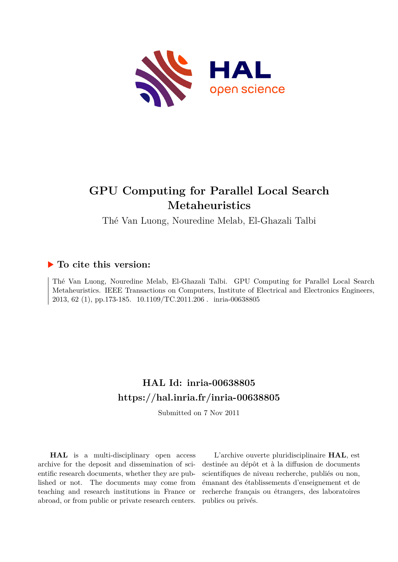

# **GPU Computing for Parallel Local Search Metaheuristics**

Thé Van Luong, Nouredine Melab, El-Ghazali Talbi

### **To cite this version:**

Thé Van Luong, Nouredine Melab, El-Ghazali Talbi. GPU Computing for Parallel Local Search Metaheuristics. IEEE Transactions on Computers, Institute of Electrical and Electronics Engineers, 2013, 62 (1), pp.173-185. 10.1109/TC.2011.206. inria-00638805

## **HAL Id: inria-00638805 <https://hal.inria.fr/inria-00638805>**

Submitted on 7 Nov 2011

**HAL** is a multi-disciplinary open access archive for the deposit and dissemination of scientific research documents, whether they are published or not. The documents may come from teaching and research institutions in France or abroad, or from public or private research centers.

L'archive ouverte pluridisciplinaire **HAL**, est destinée au dépôt et à la diffusion de documents scientifiques de niveau recherche, publiés ou non, émanant des établissements d'enseignement et de recherche français ou étrangers, des laboratoires publics ou privés.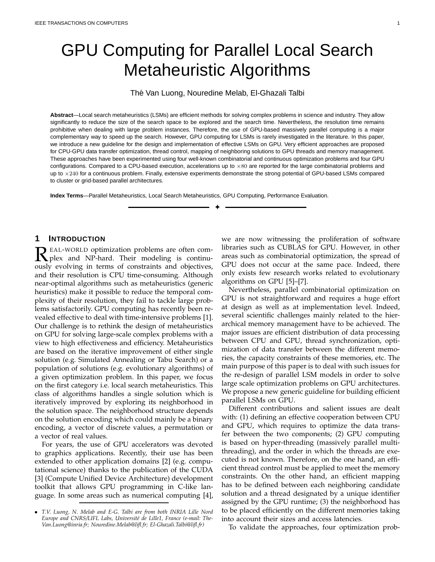# GPU Computing for Parallel Local Search Metaheuristic Algorithms

Thé Van Luong, Nouredine Melab, El-Ghazali Talbi

**Abstract**—Local search metaheuristics (LSMs) are efficient methods for solving complex problems in science and industry. They allow significantly to reduce the size of the search space to be explored and the search time. Nevertheless, the resolution time remains prohibitive when dealing with large problem instances. Therefore, the use of GPU-based massively parallel computing is a major complementary way to speed up the search. However, GPU computing for LSMs is rarely investigated in the literature. In this paper, we introduce a new guideline for the design and implementation of effective LSMs on GPU. Very efficient approaches are proposed for CPU-GPU data transfer optimization, thread control, mapping of neighboring solutions to GPU threads and memory management. These approaches have been experimented using four well-known combinatorial and continuous optimization problems and four GPU configurations. Compared to a CPU-based execution, accelerations up to  $\times 80$  are reported for the large combinatorial problems and up to  $\times 240$  for a continuous problem. Finally, extensive experiments demonstrate the strong potential of GPU-based LSMs compared to cluster or grid-based parallel architectures.

✦

**Index Terms**—Parallel Metaheuristics, Local Search Metaheuristics, GPU Computing, Performance Evaluation.

### **1 INTRODUCTION**

**R** EAL-WORLD optimization problems are often complex and NP-hard. Their modeling is continu-EAL-WORLD optimization problems are often comously evolving in terms of constraints and objectives, and their resolution is CPU time-consuming. Although near-optimal algorithms such as metaheuristics (generic heuristics) make it possible to reduce the temporal complexity of their resolution, they fail to tackle large problems satisfactorily. GPU computing has recently been revealed effective to deal with time-intensive problems [1]. Our challenge is to rethink the design of metaheuristics on GPU for solving large-scale complex problems with a view to high effectiveness and efficiency. Metaheuristics are based on the iterative improvement of either single solution (e.g. Simulated Annealing or Tabu Search) or a population of solutions (e.g. evolutionary algorithms) of a given optimization problem. In this paper, we focus on the first category i.e. local search metaheuristics. This class of algorithms handles a single solution which is iteratively improved by exploring its neighborhood in the solution space. The neighborhood structure depends on the solution encoding which could mainly be a binary encoding, a vector of discrete values, a permutation or a vector of real values.

For years, the use of GPU accelerators was devoted to graphics applications. Recently, their use has been extended to other application domains [2] (e.g. computational science) thanks to the publication of the CUDA [3] (Compute Unified Device Architecture) development toolkit that allows GPU programming in C-like language. In some areas such as numerical computing [4],

we are now witnessing the proliferation of software libraries such as CUBLAS for GPU. However, in other areas such as combinatorial optimization, the spread of GPU does not occur at the same pace. Indeed, there only exists few research works related to evolutionary algorithms on GPU [5]–[7].

Nevertheless, parallel combinatorial optimization on GPU is not straightforward and requires a huge effort at design as well as at implementation level. Indeed, several scientific challenges mainly related to the hierarchical memory management have to be achieved. The major issues are efficient distribution of data processing between CPU and GPU, thread synchronization, optimization of data transfer between the different memories, the capacity constraints of these memories, etc. The main purpose of this paper is to deal with such issues for the re-design of parallel LSM models in order to solve large scale optimization problems on GPU architectures. We propose a new generic guideline for building efficient parallel LSMs on GPU.

Different contributions and salient issues are dealt with: (1) defining an effective cooperation between CPU and GPU, which requires to optimize the data transfer between the two components; (2) GPU computing is based on hyper-threading (massively parallel multithreading), and the order in which the threads are executed is not known. Therefore, on the one hand, an efficient thread control must be applied to meet the memory constraints. On the other hand, an efficient mapping has to be defined between each neighboring candidate solution and a thread designated by a unique identifier assigned by the GPU runtime; (3) the neighborhood has to be placed efficiently on the different memories taking into account their sizes and access latencies.

To validate the approaches, four optimization prob-

<sup>•</sup> *T.V. Luong, N. Melab and E-G. Talbi are from both INRIA Lille Nord* Europe and CNRS/LIFL Labs, Université de Lille1, France (e-mail: The-*Van.Luong@inria.fr; Nouredine.Melab@lifl.fr; El-Ghazali.Talbi@lifl.fr)*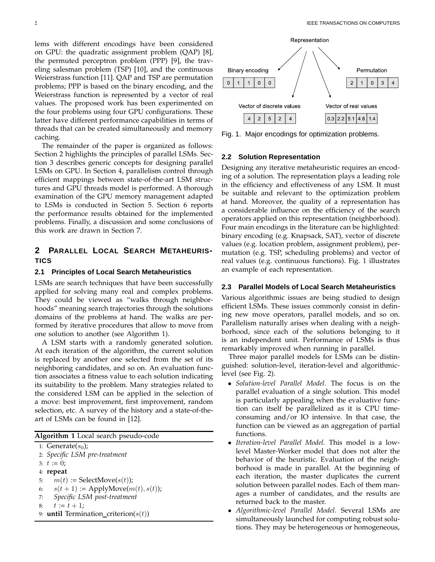lems with different encodings have been considered on GPU: the quadratic assignment problem (QAP) [8], the permuted perceptron problem (PPP) [9], the traveling salesman problem (TSP) [10], and the continuous Weierstrass function [11]. QAP and TSP are permutation problems; PPP is based on the binary encoding, and the Weierstrass function is represented by a vector of real values. The proposed work has been experimented on the four problems using four GPU configurations. These latter have different performance capabilities in terms of threads that can be created simultaneously and memory caching.

The remainder of the paper is organized as follows: Section 2 highlights the principles of parallel LSMs. Section 3 describes generic concepts for designing parallel LSMs on GPU. In Section 4, parallelism control through efficient mappings between state-of-the-art LSM structures and GPU threads model is performed. A thorough examination of the GPU memory management adapted to LSMs is conducted in Section 5. Section 6 reports the performance results obtained for the implemented problems. Finally, a discussion and some conclusions of this work are drawn in Section 7.

### **2 PARALLEL LOCAL SEARCH METAHEURIS-TICS**

### **2.1 Principles of Local Search Metaheuristics**

LSMs are search techniques that have been successfully applied for solving many real and complex problems. They could be viewed as "walks through neighborhoods" meaning search trajectories through the solutions domains of the problems at hand. The walks are performed by iterative procedures that allow to move from one solution to another (see Algorithm 1).

A LSM starts with a randomly generated solution. At each iteration of the algorithm, the current solution is replaced by another one selected from the set of its neighboring candidates, and so on. An evaluation function associates a fitness value to each solution indicating its suitability to the problem. Many strategies related to the considered LSM can be applied in the selection of a move: best improvement, first improvement, random selection, etc. A survey of the history and a state-of-theart of LSMs can be found in [12].

| Algorithm 1 Local search pseudo-code |  |  |  |  |
|--------------------------------------|--|--|--|--|
|--------------------------------------|--|--|--|--|

```
1: Generate(s_0);
```

```
2: Specific LSM pre-treatment
```

```
3: t := 0;
```
4: **repeat**

```
5: m(t) := \text{SelectMove}(s(t));
```

```
6: s(t + 1) := \text{ApplyMove}(m(t), s(t));
```

```
7: Specific LSM post-treatment
```

```
8: t := t + 1;
```
9: **until** Termination\_criterion $(s(t))$ 



Fig. 1. Major encodings for optimization problems.

### **2.2 Solution Representation**

Designing any iterative metaheuristic requires an encoding of a solution. The representation plays a leading role in the efficiency and effectiveness of any LSM. It must be suitable and relevant to the optimization problem at hand. Moreover, the quality of a representation has a considerable influence on the efficiency of the search operators applied on this representation (neighborhood). Four main encodings in the literature can be highlighted: binary encoding (e.g. Knapsack, SAT), vector of discrete values (e.g. location problem, assignment problem), permutation (e.g. TSP, scheduling problems) and vector of real values (e.g. continuous functions). Fig. 1 illustrates an example of each representation.

### **2.3 Parallel Models of Local Search Metaheuristics**

Various algorithmic issues are being studied to design efficient LSMs. These issues commonly consist in defining new move operators, parallel models, and so on. Parallelism naturally arises when dealing with a neighborhood, since each of the solutions belonging to it is an independent unit. Performance of LSMs is thus remarkably improved when running in parallel.

Three major parallel models for LSMs can be distinguished: solution-level, iteration-level and algorithmiclevel (see Fig. 2).

- *Solution-level Parallel Model.* The focus is on the parallel evaluation of a single solution. This model is particularly appealing when the evaluative function can itself be parallelized as it is CPU timeconsuming and/or IO intensive. In that case, the function can be viewed as an aggregation of partial functions.
- *Iteration-level Parallel Model.* This model is a lowlevel Master-Worker model that does not alter the behavior of the heuristic. Evaluation of the neighborhood is made in parallel. At the beginning of each iteration, the master duplicates the current solution between parallel nodes. Each of them manages a number of candidates, and the results are returned back to the master.
- *Algorithmic-level Parallel Model.* Several LSMs are simultaneously launched for computing robust solutions. They may be heterogeneous or homogeneous,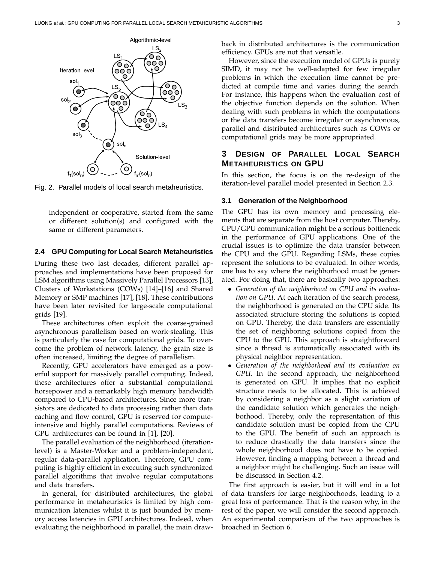

Fig. 2. Parallel models of local search metaheuristics.

independent or cooperative, started from the same or different solution(s) and configured with the same or different parameters.

### **2.4 GPU Computing for Local Search Metaheuristics**

During these two last decades, different parallel approaches and implementations have been proposed for LSM algorithms using Massively Parallel Processors [13], Clusters of Workstations (COWs) [14]–[16] and Shared Memory or SMP machines [17], [18]. These contributions have been later revisited for large-scale computational grids [19].

These architectures often exploit the coarse-grained asynchronous parallelism based on work-stealing. This is particularly the case for computational grids. To overcome the problem of network latency, the grain size is often increased, limiting the degree of parallelism.

Recently, GPU accelerators have emerged as a powerful support for massively parallel computing. Indeed, these architectures offer a substantial computational horsepower and a remarkably high memory bandwidth compared to CPU-based architectures. Since more transistors are dedicated to data processing rather than data caching and flow control, GPU is reserved for computeintensive and highly parallel computations. Reviews of GPU architectures can be found in [1], [20].

The parallel evaluation of the neighborhood (iterationlevel) is a Master-Worker and a problem-independent, regular data-parallel application. Therefore, GPU computing is highly efficient in executing such synchronized parallel algorithms that involve regular computations and data transfers.

In general, for distributed architectures, the global performance in metaheuristics is limited by high communication latencies whilst it is just bounded by memory access latencies in GPU architectures. Indeed, when evaluating the neighborhood in parallel, the main drawback in distributed architectures is the communication efficiency. GPUs are not that versatile.

However, since the execution model of GPUs is purely SIMD, it may not be well-adapted for few irregular problems in which the execution time cannot be predicted at compile time and varies during the search. For instance, this happens when the evaluation cost of the objective function depends on the solution. When dealing with such problems in which the computations or the data transfers become irregular or asynchronous, parallel and distributed architectures such as COWs or computational grids may be more appropriated.

### **3 DESIGN OF PARALLEL LOCAL SEARCH METAHEURISTICS ON GPU**

In this section, the focus is on the re-design of the iteration-level parallel model presented in Section 2.3.

### **3.1 Generation of the Neighborhood**

The GPU has its own memory and processing elements that are separate from the host computer. Thereby, CPU/GPU communication might be a serious bottleneck in the performance of GPU applications. One of the crucial issues is to optimize the data transfer between the CPU and the GPU. Regarding LSMs, these copies represent the solutions to be evaluated. In other words, one has to say where the neighborhood must be generated. For doing that, there are basically two approaches:

- *Generation of the neighborhood on CPU and its evaluation on GPU*. At each iteration of the search process, the neighborhood is generated on the CPU side. Its associated structure storing the solutions is copied on GPU. Thereby, the data transfers are essentially the set of neighboring solutions copied from the CPU to the GPU. This approach is straightforward since a thread is automatically associated with its physical neighbor representation.
- *Generation of the neighborhood and its evaluation on GPU*. In the second approach, the neighborhood is generated on GPU. It implies that no explicit structure needs to be allocated. This is achieved by considering a neighbor as a slight variation of the candidate solution which generates the neighborhood. Thereby, only the representation of this candidate solution must be copied from the CPU to the GPU. The benefit of such an approach is to reduce drastically the data transfers since the whole neighborhood does not have to be copied. However, finding a mapping between a thread and a neighbor might be challenging. Such an issue will be discussed in Section 4.2.

The first approach is easier, but it will end in a lot of data transfers for large neighborhoods, leading to a great loss of performance. That is the reason why, in the rest of the paper, we will consider the second approach. An experimental comparison of the two approaches is broached in Section 6.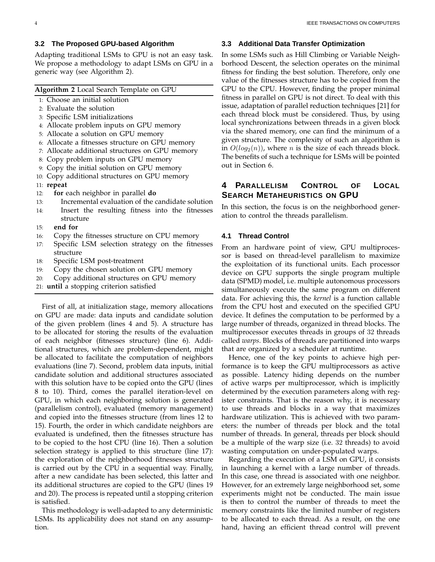### **3.2 The Proposed GPU-based Algorithm**

Adapting traditional LSMs to GPU is not an easy task. We propose a methodology to adapt LSMs on GPU in a generic way (see Algorithm 2).

| Algorithm 2 Local Search Template on GPU |  |  |  |  |  |  |
|------------------------------------------|--|--|--|--|--|--|
|------------------------------------------|--|--|--|--|--|--|

- 1: Choose an initial solution
- 2: Evaluate the solution
- 3: Specific LSM initializations
- 4: Allocate problem inputs on GPU memory
- 5: Allocate a solution on GPU memory
- 6: Allocate a fitnesses structure on GPU memory
- 7: Allocate additional structures on GPU memory
- 8: Copy problem inputs on GPU memory
- 9: Copy the initial solution on GPU memory
- 10: Copy additional structures on GPU memory
- 11: **repeat**
- 12: **for** each neighbor in parallel **do**
- 13: Incremental evaluation of the candidate solution
- 14: Insert the resulting fitness into the fitnesses structure
- 15: **end for**
- 16: Copy the fitnesses structure on CPU memory
- 17: Specific LSM selection strategy on the fitnesses structure
- 18: Specific LSM post-treatment
- 19: Copy the chosen solution on GPU memory
- 20: Copy additional structures on GPU memory
- 21: **until** a stopping criterion satisfied

First of all, at initialization stage, memory allocations on GPU are made: data inputs and candidate solution of the given problem (lines 4 and 5). A structure has to be allocated for storing the results of the evaluation of each neighbor (fitnesses structure) (line 6). Additional structures, which are problem-dependent, might be allocated to facilitate the computation of neighbors evaluations (line 7). Second, problem data inputs, initial candidate solution and additional structures associated with this solution have to be copied onto the GPU (lines 8 to 10). Third, comes the parallel iteration-level on GPU, in which each neighboring solution is generated (parallelism control), evaluated (memory management) and copied into the fitnesses structure (from lines 12 to 15). Fourth, the order in which candidate neighbors are evaluated is undefined, then the fitnesses structure has to be copied to the host CPU (line 16). Then a solution selection strategy is applied to this structure (line 17): the exploration of the neighborhood fitnesses structure is carried out by the CPU in a sequential way. Finally, after a new candidate has been selected, this latter and its additional structures are copied to the GPU (lines 19 and 20). The process is repeated until a stopping criterion is satisfied.

This methodology is well-adapted to any deterministic LSMs. Its applicability does not stand on any assumption.

#### **3.3 Additional Data Transfer Optimization**

In some LSMs such as Hill Climbing or Variable Neighborhood Descent, the selection operates on the minimal fitness for finding the best solution. Therefore, only one value of the fitnesses structure has to be copied from the GPU to the CPU. However, finding the proper minimal fitness in parallel on GPU is not direct. To deal with this issue, adaptation of parallel reduction techniques [21] for each thread block must be considered. Thus, by using local synchronizations between threads in a given block via the shared memory, one can find the minimum of a given structure. The complexity of such an algorithm is in  $O(log_2(n))$ , where *n* is the size of each threads block. The benefits of such a technique for LSMs will be pointed out in Section 6.

### **4 PARALLELISM CONTROL OF LOCAL SEARCH METAHEURISTICS ON GPU**

In this section, the focus is on the neighborhood generation to control the threads parallelism.

### **4.1 Thread Control**

From an hardware point of view, GPU multiprocessor is based on thread-level parallelism to maximize the exploitation of its functional units. Each processor device on GPU supports the single program multiple data (SPMD) model, i.e. multiple autonomous processors simultaneously execute the same program on different data. For achieving this, the *kernel* is a function callable from the CPU host and executed on the specified GPU device. It defines the computation to be performed by a large number of threads, organized in thread blocks. The multiprocessor executes threads in groups of 32 threads called *warps*. Blocks of threads are partitioned into warps that are organized by a scheduler at runtime.

Hence, one of the key points to achieve high performance is to keep the GPU multiprocessors as active as possible. Latency hiding depends on the number of active warps per multiprocessor, which is implicitly determined by the execution parameters along with register constraints. That is the reason why, it is necessary to use threads and blocks in a way that maximizes hardware utilization. This is achieved with two parameters: the number of threads per block and the total number of threads. In general, threads per block should be a multiple of the warp size (i.e. 32 threads) to avoid wasting computation on under-populated warps.

Regarding the execution of a LSM on GPU, it consists in launching a kernel with a large number of threads. In this case, one thread is associated with one neighbor. However, for an extremely large neighborhood set, some experiments might not be conducted. The main issue is then to control the number of threads to meet the memory constraints like the limited number of registers to be allocated to each thread. As a result, on the one hand, having an efficient thread control will prevent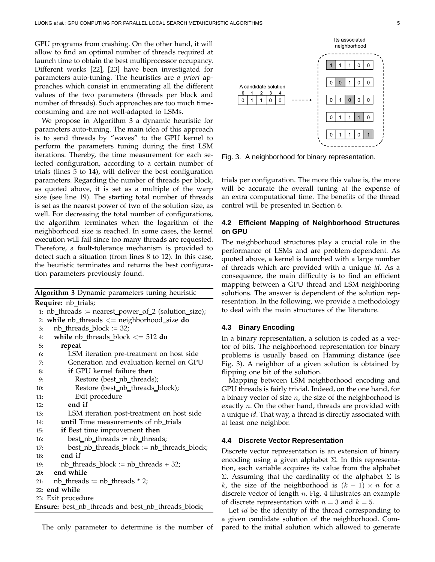GPU programs from crashing. On the other hand, it will allow to find an optimal number of threads required at launch time to obtain the best multiprocessor occupancy. Different works [22], [23] have been investigated for parameters auto-tuning. The heuristics are *a priori* approaches which consist in enumerating all the different values of the two parameters (threads per block and number of threads). Such approaches are too much timeconsuming and are not well-adapted to LSMs.

We propose in Algorithm 3 a dynamic heuristic for parameters auto-tuning. The main idea of this approach is to send threads by "waves" to the GPU kernel to perform the parameters tuning during the first LSM iterations. Thereby, the time measurement for each selected configuration, according to a certain number of trials (lines 5 to 14), will deliver the best configuration parameters. Regarding the number of threads per block, as quoted above, it is set as a multiple of the warp size (see line 19). The starting total number of threads is set as the nearest power of two of the solution size, as well. For decreasing the total number of configurations, the algorithm terminates when the logarithm of the neighborhood size is reached. In some cases, the kernel execution will fail since too many threads are requested. Therefore, a fault-tolerance mechanism is provided to detect such a situation (from lines 8 to 12). In this case, the heuristic terminates and returns the best configuration parameters previously found.

| Algorithm 3 Dynamic parameters tuning heuristic                  |  |  |  |  |  |  |  |  |  |
|------------------------------------------------------------------|--|--|--|--|--|--|--|--|--|
| Require: nb_trials;                                              |  |  |  |  |  |  |  |  |  |
| 1: nb_threads := nearest_power_of_2 (solution_size);             |  |  |  |  |  |  |  |  |  |
| 2: while nb_threads $<=$ neighborhood_size do                    |  |  |  |  |  |  |  |  |  |
| $nb_\text{threads\_block} := 32;$<br>3:                          |  |  |  |  |  |  |  |  |  |
| while nb_threads_block $<= 512$ do<br>4:                         |  |  |  |  |  |  |  |  |  |
| repeat<br>5:                                                     |  |  |  |  |  |  |  |  |  |
| LSM iteration pre-treatment on host side<br>6:                   |  |  |  |  |  |  |  |  |  |
| Generation and evaluation kernel on GPU<br>7:                    |  |  |  |  |  |  |  |  |  |
| <b>if</b> GPU kernel failure then<br>8:                          |  |  |  |  |  |  |  |  |  |
| Restore (best_nb_threads);<br>9:                                 |  |  |  |  |  |  |  |  |  |
| Restore (best_nb_threads_block);<br>10:                          |  |  |  |  |  |  |  |  |  |
| Exit procedure<br>11:                                            |  |  |  |  |  |  |  |  |  |
| end if<br>12:                                                    |  |  |  |  |  |  |  |  |  |
| LSM iteration post-treatment on host side<br>13:                 |  |  |  |  |  |  |  |  |  |
| until Time measurements of nb_trials<br>14:                      |  |  |  |  |  |  |  |  |  |
| if Best time improvement then<br>15:                             |  |  |  |  |  |  |  |  |  |
| best_nb_threads := nb_threads;<br>16:                            |  |  |  |  |  |  |  |  |  |
| best_nb_threads_block := nb_threads_block;<br>17:                |  |  |  |  |  |  |  |  |  |
| end if<br>18:                                                    |  |  |  |  |  |  |  |  |  |
| $nb_{\text{threads\_block}} := nb_{\text{threads}} + 32;$<br>19: |  |  |  |  |  |  |  |  |  |
| end while<br>20:                                                 |  |  |  |  |  |  |  |  |  |
| $nb_\text{threads} := nb_\text{threads} * 2;$<br>21:             |  |  |  |  |  |  |  |  |  |
| $22:$ end while                                                  |  |  |  |  |  |  |  |  |  |
| 23: Exit procedure                                               |  |  |  |  |  |  |  |  |  |
| Ensure: best_nb_threads and best_nb_threads_block;               |  |  |  |  |  |  |  |  |  |





Fig. 3. A neighborhood for binary representation.

trials per configuration. The more this value is, the more will be accurate the overall tuning at the expense of an extra computational time. The benefits of the thread control will be presented in Section 6.

### **4.2 Efficient Mapping of Neighborhood Structures on GPU**

The neighborhood structures play a crucial role in the performance of LSMs and are problem-dependent. As quoted above, a kernel is launched with a large number of threads which are provided with a unique *id*. As a consequence, the main difficulty is to find an efficient mapping between a GPU thread and LSM neighboring solutions. The answer is dependent of the solution representation. In the following, we provide a methodology to deal with the main structures of the literature.

### **4.3 Binary Encoding**

In a binary representation, a solution is coded as a vector of bits. The neighborhood representation for binary problems is usually based on Hamming distance (see Fig. 3). A neighbor of a given solution is obtained by flipping one bit of the solution.

Mapping between LSM neighborhood encoding and GPU threads is fairly trivial. Indeed, on the one hand, for a binary vector of size  $n$ , the size of the neighborhood is exactly  $n$ . On the other hand, threads are provided with a unique *id*. That way, a thread is directly associated with at least one neighbor.

### **4.4 Discrete Vector Representation**

Discrete vector representation is an extension of binary encoding using a given alphabet  $\Sigma$ . In this representation, each variable acquires its value from the alphabet Σ. Assuming that the cardinality of the alphabet Σ is k, the size of the neighborhood is  $(k - 1) \times n$  for a discrete vector of length  $n$ . Fig. 4 illustrates an example of discrete representation with  $n = 3$  and  $k = 5$ .

Let *id* be the identity of the thread corresponding to a given candidate solution of the neighborhood. Compared to the initial solution which allowed to generate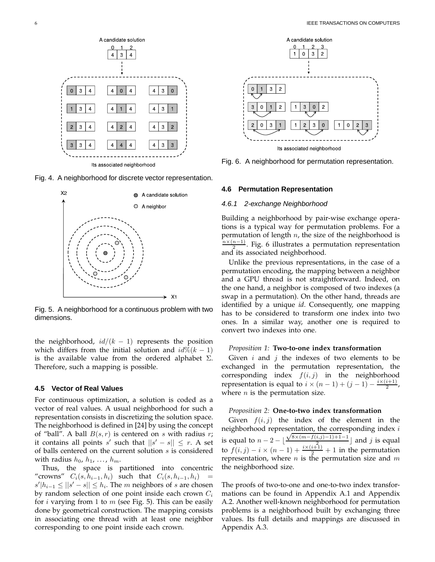

Fig. 4. A neighborhood for discrete vector representation.



Fig. 5. A neighborhood for a continuous problem with two dimensions.

the neighborhood,  $id/(k - 1)$  represents the position which differs from the initial solution and  $id\%(k-1)$ is the available value from the ordered alphabet  $\Sigma$ . Therefore, such a mapping is possible.

### **4.5 Vector of Real Values**

For continuous optimization, a solution is coded as a vector of real values. A usual neighborhood for such a representation consists in discretizing the solution space. The neighborhood is defined in [24] by using the concept of "ball". A ball  $B(s, r)$  is centered on s with radius r; it contains all points s' such that  $||s' - s|| \leq r$ . A set of balls centered on the current solution s is considered with radius  $h_0$ ,  $h_1$ , ...,  $h_m$ .

Thus, the space is partitioned into concentric "crowns"  $C_i(s, h_{i-1}, h_i)$  such that  $C_i(s, h_{i-1}, h_i)$  $s' |h_{i-1} \leq ||s' - s|| \leq h_i$ . The *m* neighbors of *s* are chosen by random selection of one point inside each crown  $C_i$ for  $i$  varying from 1 to  $m$  (see Fig. 5). This can be easily done by geometrical construction. The mapping consists in associating one thread with at least one neighbor corresponding to one point inside each crown.



Fig. 6. A neighborhood for permutation representation.

#### **4.6 Permutation Representation**

#### 4.6.1 2-exchange Neighborhood

Building a neighborhood by pair-wise exchange operations is a typical way for permutation problems. For a permutation of length  $n$ , the size of the neighborhood is  $n\times(n-1)$  $\frac{n-1}{2}$ . Fig. 6 illustrates a permutation representation and its associated neighborhood.

Unlike the previous representations, in the case of a permutation encoding, the mapping between a neighbor and a GPU thread is not straightforward. Indeed, on the one hand, a neighbor is composed of two indexes (a swap in a permutation). On the other hand, threads are identified by a unique *id*. Consequently, one mapping has to be considered to transform one index into two ones. In a similar way, another one is required to convert two indexes into one.

#### *Proposition 1:* **Two-to-one index transformation**

Given  $i$  and  $j$  the indexes of two elements to be exchanged in the permutation representation, the corresponding index  $f(i, j)$  in the neighborhood representation is equal to  $i \times (n-1) + (j-1) - \frac{i \times (i+1)}{2}$  $\frac{i+1j}{2}$ , where  $n$  is the permutation size.

### *Proposition 2:* **One-to-two index transformation**

Given  $f(i, j)$  the index of the element in the neighborhood representation, the corresponding index  $i$ is equal to  $n - 2 - \lfloor \frac{3}{2} \rfloor$  $\sqrt{8 \times (m - f(i,j) - 1) + 1} - 1$  $\left[\frac{i,j-1}{2}\right]$  and j is equal to  $f(i, j) - i \times (n - 1) + \frac{i \times (i + 1)}{2} + 1$  in the permutation representation, where  $n$  is the permutation size and  $m$ the neighborhood size.

The proofs of two-to-one and one-to-two index transformations can be found in Appendix A.1 and Appendix A.2. Another well-known neighborhood for permutation problems is a neighborhood built by exchanging three values. Its full details and mappings are discussed in Appendix A.3.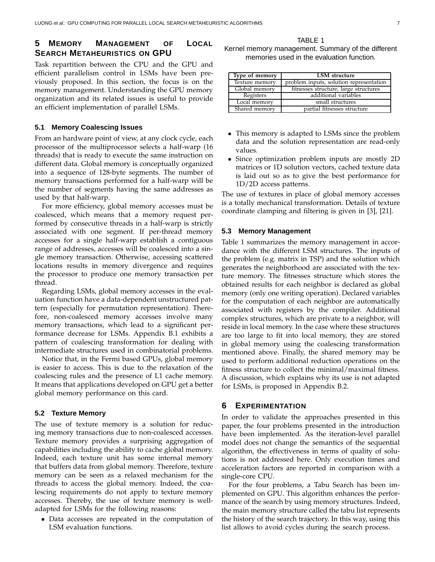### **5 MEMORY MANAGEMENT OF LOCAL SEARCH METAHEURISTICS ON GPU**

Task repartition between the CPU and the GPU and efficient parallelism control in LSMs have been previously proposed. In this section, the focus is on the memory management. Understanding the GPU memory organization and its related issues is useful to provide an efficient implementation of parallel LSMs.

### **5.1 Memory Coalescing Issues**

From an hardware point of view, at any clock cycle, each processor of the multiprocessor selects a half-warp (16 threads) that is ready to execute the same instruction on different data. Global memory is conceptually organized into a sequence of 128-byte segments. The number of memory transactions performed for a half-warp will be the number of segments having the same addresses as used by that half-warp.

For more efficiency, global memory accesses must be coalesced, which means that a memory request performed by consecutive threads in a half-warp is strictly associated with one segment. If per-thread memory accesses for a single half-warp establish a contiguous range of addresses, accesses will be coalesced into a single memory transaction. Otherwise, accessing scattered locations results in memory divergence and requires the processor to produce one memory transaction per thread.

Regarding LSMs, global memory accesses in the evaluation function have a data-dependent unstructured pattern (especially for permutation representation). Therefore, non-coalesced memory accesses involve many memory transactions, which lead to a significant performance decrease for LSMs. Appendix B.1 exhibits a pattern of coalescing transformation for dealing with intermediate structures used in combinatorial problems.

Notice that, in the Fermi based GPUs, global memory is easier to access. This is due to the relaxation of the coalescing rules and the presence of L1 cache memory. It means that applications developed on GPU get a better global memory performance on this card.

### **5.2 Texture Memory**

The use of texture memory is a solution for reducing memory transactions due to non-coalesced accesses. Texture memory provides a surprising aggregation of capabilities including the ability to cache global memory. Indeed, each texture unit has some internal memory that buffers data from global memory. Therefore, texture memory can be seen as a relaxed mechanism for the threads to access the global memory. Indeed, the coalescing requirements do not apply to texture memory accesses. Thereby, the use of texture memory is welladapted for LSMs for the following reasons:

• Data accesses are repeated in the computation of LSM evaluation functions.

TABLE 1 Kernel memory management. Summary of the different memories used in the evaluation function.

| Type of memory | <b>LSM</b> structure                    |
|----------------|-----------------------------------------|
| Texture memory | problem inputs, solution representation |
| Global memory  | fitnesses structure, large structures   |
| Registers      | additional variables                    |
| Local memory   | small structures                        |
| Shared memory  | partial fitnesses structure             |

- This memory is adapted to LSMs since the problem data and the solution representation are read-only values.
- Since optimization problem inputs are mostly 2D matrices or 1D solution vectors, cached texture data is laid out so as to give the best performance for 1D/2D access patterns.

The use of textures in place of global memory accesses is a totally mechanical transformation. Details of texture coordinate clamping and filtering is given in [3], [21].

### **5.3 Memory Management**

Table 1 summarizes the memory management in accordance with the different LSM structures. The inputs of the problem (e.g. matrix in TSP) and the solution which generates the neighborhood are associated with the texture memory. The fitnesses structure which stores the obtained results for each neighbor is declared as global memory (only one writing operation). Declared variables for the computation of each neighbor are automatically associated with registers by the compiler. Additional complex structures, which are private to a neighbor, will reside in local memory. In the case where these structures are too large to fit into local memory, they are stored in global memory using the coalescing transformation mentioned above. Finally, the shared memory may be used to perform additional reduction operations on the fitness structure to collect the minimal/maximal fitness. A discussion, which explains why its use is not adapted for LSMs, is proposed in Appendix B.2.

### **6 EXPERIMENTATION**

In order to validate the approaches presented in this paper, the four problems presented in the introduction have been implemented. As the iteration-level parallel model does not change the semantics of the sequential algorithm, the effectiveness in terms of quality of solutions is not addressed here. Only execution times and acceleration factors are reported in comparison with a single-core CPU.

For the four problems, a Tabu Search has been implemented on GPU. This algorithm enhances the performance of the search by using memory structures. Indeed, the main memory structure called the tabu list represents the history of the search trajectory. In this way, using this list allows to avoid cycles during the search process.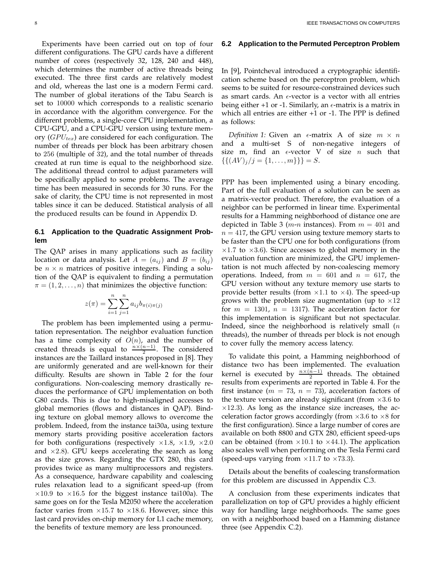Experiments have been carried out on top of four different configurations. The GPU cards have a different number of cores (respectively 32, 128, 240 and 448), which determines the number of active threads being executed. The three first cards are relatively modest and old, whereas the last one is a modern Fermi card. The number of global iterations of the Tabu Search is set to 10000 which corresponds to a realistic scenario in accordance with the algorithm convergence. For the different problems, a single-core CPU implementation, a CPU-GPU, and a CPU-GPU version using texture memory  $(GPU_{tex})$  are considered for each configuration. The number of threads per block has been arbitrary chosen to 256 (multiple of 32), and the total number of threads created at run time is equal to the neighborhood size. The additional thread control to adjust parameters will be specifically applied to some problems. The average time has been measured in seconds for 30 runs. For the sake of clarity, the CPU time is not represented in most tables since it can be deduced. Statistical analysis of all the produced results can be found in Appendix D.

### **6.1 Application to the Quadratic Assignment Problem**

The QAP arises in many applications such as facility location or data analysis. Let  $A = (a_{ij})$  and  $B = (b_{ij})$ be  $n \times n$  matrices of positive integers. Finding a solution of the QAP is equivalent to finding a permutation  $\pi = (1, 2, \dots, n)$  that minimizes the objective function:

$$
z(\pi) = \sum_{i=1}^{n} \sum_{j=1}^{n} a_{ij} b_{\pi(i)\pi(j)}
$$

The problem has been implemented using a permutation representation. The neighbor evaluation function has a time complexity of  $O(n)$ , and the number of created threads is equal to  $\frac{n \times (n-1)}{2}$ . The considered instances are the Taillard instances proposed in [8]. They are uniformly generated and are well-known for their difficulty. Results are shown in Table 2 for the four configurations. Non-coalescing memory drastically reduces the performance of GPU implementation on both G80 cards. This is due to high-misaligned accesses to global memories (flows and distances in QAP). Binding texture on global memory allows to overcome the problem. Indeed, from the instance tai30a, using texture memory starts providing positive acceleration factors for both configurations (respectively  $\times 1.8$ ,  $\times 1.9$ ,  $\times 2.0$ and  $\times$ 2.8). GPU keeps accelerating the search as long as the size grows. Regarding the GTX 280, this card provides twice as many multiprocessors and registers. As a consequence, hardware capability and coalescing rules relaxation lead to a significant speed-up (from  $\times 10.9$  to  $\times 16.5$  for the biggest instance tai100a). The same goes on for the Tesla M2050 where the acceleration factor varies from  $\times 15.7$  to  $\times 18.6$ . However, since this last card provides on-chip memory for L1 cache memory, the benefits of texture memory are less pronounced.

#### **6.2 Application to the Permuted Perceptron Problem**

In [9], Pointcheval introduced a cryptographic identification scheme based on the perceptron problem, which seems to be suited for resource-constrained devices such as smart cards. An  $\epsilon$ -vector is a vector with all entries being either  $+1$  or  $-1$ . Similarly, an  $\epsilon$ -matrix is a matrix in which all entries are either +1 or -1. The PPP is defined as follows:

*Definition 1:* Given an  $\epsilon$ -matrix A of size  $m \times n$ and a multi-set S of non-negative integers of size m, find an  $\epsilon$ -vector V of size n such that  $\{\{(AV)_j/j = \{1, \ldots, m\}\}\}=S.$ 

PPP has been implemented using a binary encoding. Part of the full evaluation of a solution can be seen as a matrix-vector product. Therefore, the evaluation of a neighbor can be performed in linear time. Experimental results for a Hamming neighborhood of distance one are depicted in Table 3 (*m-n* instances). From  $m = 401$  and  $n = 417$ , the GPU version using texture memory starts to be faster than the CPU one for both configurations (from  $\times$ 1.7 to  $\times$ 3.6). Since accesses to global memory in the evaluation function are minimized, the GPU implementation is not much affected by non-coalescing memory operations. Indeed, from  $m = 601$  and  $n = 617$ , the GPU version without any texture memory use starts to provide better results (from  $\times 1.1$  to  $\times 4$ ). The speed-up grows with the problem size augmentation (up to  $\times 12$ ) for  $m = 1301$ ,  $n = 1317$ . The acceleration factor for this implementation is significant but not spectacular. Indeed, since the neighborhood is relatively small  $(n)$ threads), the number of threads per block is not enough to cover fully the memory access latency.

To validate this point, a Hamming neighborhood of distance two has been implemented. The evaluation kernel is executed by  $\frac{n \times (n-1)}{2}$  threads. The obtained results from experiments are reported in Table 4. For the first instance ( $m = 73$ ,  $n = 73$ ), acceleration factors of the texture version are already significant (from  $\times 3.6$  to  $\times$ 12.3). As long as the instance size increases, the acceleration factor grows accordingly (from  $\times 3.6$  to  $\times 8$  for the first configuration). Since a large number of cores are available on both 8800 and GTX 280, efficient speed-ups can be obtained (from  $\times 10.1$  to  $\times 44.1$ ). The application also scales well when performing on the Tesla Fermi card (speed-ups varying from  $\times$ 11.7 to  $\times$ 73.3).

Details about the benefits of coalescing transformation for this problem are discussed in Appendix C.3.

A conclusion from these experiments indicates that parallelization on top of GPU provides a highly efficient way for handling large neighborhoods. The same goes on with a neighborhood based on a Hamming distance three (see Appendix C.2).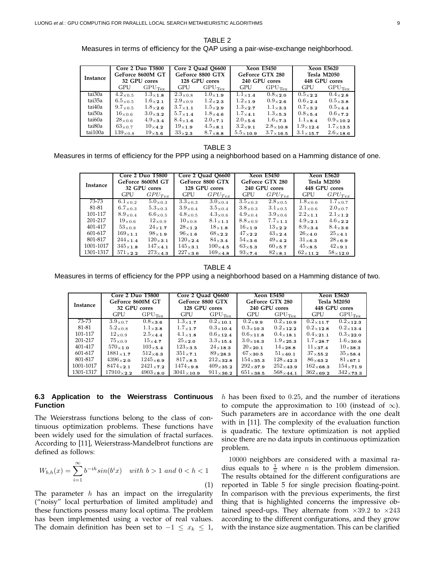TABLE 2 Measures in terms of efficiency for the QAP using a pair-wise-exchange neighborhood.

| Instance | Core 2 Duo T5800<br>GeForce 8600M GT<br>32 GPU cores |                      | Core 2 Ouad O6600<br>GeForce 8800 GTX<br>128 GPU cores |                      | Xeon E5450<br>GeForce GTX 280<br>240 GPU cores |                            | <b>Xeon E5620</b><br>Tesla M2050<br>448 GPU cores |                      |
|----------|------------------------------------------------------|----------------------|--------------------------------------------------------|----------------------|------------------------------------------------|----------------------------|---------------------------------------------------|----------------------|
|          | GPU                                                  | $\mathrm{GPU_{Tex}}$ | GPU                                                    | $\mathrm{GPU_{Tex}}$ | GPU                                            | $\mathrm{GPU_{Tex}}$       | GPU                                               | $\mathrm{GPU_{Tex}}$ |
| tai30a   | $4.2_{\times 0.5}$                                   | $1.3 \times 1.8$     | $2.3 \times 0.8$                                       | $1.0 \times 1.9$     | $1.1_{\times}$ 1.4                             | $0.8\times 2.0$            | $0.5_{\times}$ 2.2                                | $0.4\times$ 2.8      |
| tai35a   | $6.5 \times 0.5$                                     | $1.6 \times 2.1$     | $2.9_{\times 0.9}$                                     | $1.2 \times 2.3$     | $1.2 \times 1.9$                               | $0.9 \times 2.6$           | $0.6 \times 2.4$                                  | $0.5 \times 3.8$     |
| tai40a   | $9.7 \times 0.5$                                     | $1.8 \times 2.6$     | $3.7_{\times1.1}$                                      | $1.5 \times 2.9$     | $1.3\times 2.7$                                | $1.1 \times 3.3$           | $0.7 \times 3.2$                                  | $0.5 \times 4.4$     |
| tai50a   | $16\times0.6$                                        | $3.0 \times 3.2$     | $5.7 \times 1.4$                                       | $1.8\times 4.6$      | $1.7 \times 4.1$                               | $1.3 \times 5.3$           | $0.8_{\times 5.4}$                                | $0.6 \times 7.2$     |
| tai60a   | $28\times0.6$                                        | $4.9 \times 3.4$     | $8.4 \times 1.6$                                       | $2.0 \times 7.1$     | $2.0 \times 5.6$                               | $1.6 \times 7.3$           | $1.1 \times 8.4$                                  | $0.9 \times 10.2$    |
| tai80a   | $63_{\times0.7}$                                     | $10_{\times}$ 4.2    | $19\times1.9$                                          | $4.5 \times 8.1$     | $3.2 \times 9.1$                               | $2.8_{\times}10.8$         | $1.9_{\times}$ 12.4                               | $1.7 \times 13.5$    |
| tai100a  | $139_{\times0.8}$                                    | $19_{\times 5.6}$    | $33_{\times}$ 2.3                                      | $8.7 \times 8.8$     | $5.5 \times 10.9$                              | $3.7_{\times}$ <b>16.5</b> | $3.1_{\times}$ 15.7                               | $2.6_{\times}$ 18.6  |

#### TABLE 3

Measures in terms of efficiency for the PPP using a neighborhood based on a Hamming distance of one.

| Instance  | Core 2 Duo T5800<br>GeForce 8600M GT<br>32 GPU cores<br>$GPU_{Tex}$<br>GPU |                    | Core 2 Ouad O6600<br>GeForce 8800 GTX<br>128 GPU cores<br>GPU<br>$GPU_{Tex}$ |                    | Xeon E5450<br>GeForce GTX 280<br>240 GPU cores<br>GPU<br>$GPU_{Tex}$ |                   | <b>Xeon E5620</b><br>Tesla M2050<br>448 GPU cores<br>GPU<br>$GPU_{Tex}$ |                    |
|-----------|----------------------------------------------------------------------------|--------------------|------------------------------------------------------------------------------|--------------------|----------------------------------------------------------------------|-------------------|-------------------------------------------------------------------------|--------------------|
| 73-73     | $6.1_{\times 0.2}$                                                         | $5.0\times 0.3$    | $3.3_{\times0.3}$                                                            | $3.0 \times 0.4$   | $3.5 \times 0.3$                                                     | $2.8 \times 0.5$  | $1.8 \times 0.6$                                                        | $1.7_{\times 0.7}$ |
| 81-81     | $6.7 \times 0.3$                                                           | $5.3_{\times0.3}$  | $3.9\times0.4$                                                               | $3.5 \times 0.4$   | $3.8_{\times0.3}$                                                    | $3.1 \times 0.5$  | $2.1 \times 0.6$                                                        | $2.0_{\times 0.7}$ |
| 101-117   | $8.9\times 0.4$                                                            | $6.6 \times 0.5$   | $4.8 \times 0.5$                                                             | $4.3 \times 0.6$   | $4.9_{\times0.4}$                                                    | $3.9 \times 0.6$  | $2.2 \times 1.1$                                                        | $2.1_{\times}$ 1.2 |
| 201-217   | $19\times0.6$                                                              | $12\times0.9$      | $10\times 0.8$                                                               | $8.1 \times 1.1$   | $8.8\times0.9$                                                       | $7.7 \times 1.1$  | $4.9\times$ 2.1                                                         | $4.6 \times 2.2$   |
| 401-417   | $53\times0.8$                                                              | $24\times1.7$      | $28\times1.2$                                                                | $18\times1.8$      | $16\times1.9$                                                        | $13\times 2.2$    | $8.9\times3.4$                                                          | $8.4 \times 3.6$   |
| 601-617   | $169_{\times}1.1$                                                          | $98\times1.9$      | $96\times1.6$                                                                | $68\times 2.2$     | $47\times$ 2.2                                                       | $43\times$ 2.4    | $26\times$ 4.0                                                          | $25\times 4.1$     |
| 801-817   | $244_{\times}$ <b>1.4</b>                                                  | $120 \times 3.1$   | $120\times 2.4$                                                              | $84\times3.4$      | $54\times3.6$                                                        | $49\times 4.2$    | $31\times$ 6.3                                                          | $28\times 6.9$     |
| 1001-1017 | $345_{\times}$ 1.8                                                         | $147_{\times}$ 4.1 | $145_{\times}$ 3.1                                                           | $100\times 4.5$    | $63\times 5.3$                                                       | $60_{\times}$ 5.7 | $45\times8.5$                                                           | $42\times$ 9.1     |
| 1301-1317 | $571_{\times}$ 2.2                                                         | $273_{\times 4.3}$ | $227_{\times}$ 3.6                                                           | $169_{\times}$ 4.8 | $93\times 7.4$                                                       | $82_{\times}$ 8.1 | $62_{\times}$ 11.2                                                      | $58_{\times}$ 12.0 |

#### TABLE 4

Measures in terms of efficiency for the PPP using a neighborhood based on a Hamming distance of two.

| Instance  | Core 2 Duo T5800<br>GeForce 8600M GT<br>32 GPU cores |                      | Core 2 Ouad O6600<br>GeForce 8800 GTX<br>128 GPU cores<br>GPU |                            | Xeon E5450<br>GeForce GTX 280<br>240 GPU cores |                              | <b>Xeon E5620</b><br>Tesla M2050<br>448 GPU cores |                      |
|-----------|------------------------------------------------------|----------------------|---------------------------------------------------------------|----------------------------|------------------------------------------------|------------------------------|---------------------------------------------------|----------------------|
|           | GPU                                                  | $\mathrm{GPU_{Tex}}$ |                                                               | $\mathrm{GPU_{Tex}}$       | <b>GPU</b>                                     | $\mathrm{GPU_{Tex}}$         | <b>GPU</b>                                        | $\mathrm{GPU_{Tex}}$ |
| 73-73     | $3.9\times0.7$                                       | $0.8 \times 3.6$     | $1.3 \times 1.7$                                              | $0.2_{\times}$ 10.1        | $0.2 \times 9.9$                               | $0.2 \times 10.9$            | $0.2_{\times}$ 11.7                               | $0.2_{\times}$ 12.3  |
| 81-81     | $5.2 \times 0.8$                                     | $1.1_{\times}$ 3.8   | $1.7 \times 1.7$                                              | $0.3$ $\times$ 10.4        | $0.3 \times 10.3$                              | $0.2_{\times}$ 12.2          | $0.2_{\times}$ 12.8                               | $0.2_{\times 13.4}$  |
| 101-117   | $12_{\times}0.9$                                     | $2.5 \times 4.4$     | $4.1_{\times}$ 1.8                                            | $0.6_{\times}$ 12.4        | $0.6 \times 11.8$                              | $0.4 \times 18.1$            | $0.4\times 21.1$                                  | $0.3_{\times}$ 22.0  |
| 201-217   | $75_{\times0.9}$                                     | $15_{\times}$ 4.7    | $25_{\times}$ 2.0                                             | $3.3_{\times 15.4}$        | $3.0_{\times}$ 16.3                            | $1.9_{\times}$ <b>25.3</b>   | $1.7_{\times}$ 28.7                               | $1.6_{\times}$ 30.6  |
| 401-417   | $570_{\times}$ 1.0                                   | $103_{\times 5.4}$   | $123_{\times}$ 3.5                                            | $24_{\times}$ 18.3         | $20_{\times}$ 20.1                             | $14\times$ 28.8              | $11_{\times}$ 37.4                                | $10\times$ 38.3      |
| 601-617   | $1881_{\times}1.7$                                   | $512_{\times}$ 6.3   | $351_{\times}$ 7.1                                            | $89_{\times}$ 28.3         | $67_{\times}$ 30.5                             | $51_{\times}$ 40.1           | $37\times$ 55.2                                   | $35\times$ 58.4      |
| 801-817   | $4396_{\times}$ 2.0                                  | $1245\times 6.9$     | $817_{\times}$ 8.5                                            | $212_{\times}$ <b>32.8</b> | $154_{\times}$ 35.3                            | $128_{\times}$ 42.3          | $86_{\times}$ 63.2                                | $81_{\times}$ 67.1   |
| 1001-1017 | $8474_{\times}$ <b>2.1</b>                           | $2421_{\times}7.2$   | $1474_{\times}$ 9.8                                           | $409_{\times}$ 35.2        | $292_{\times}$ 37.9                            | $252_{\times}$ 43.9          | $162 \times 68.3$                                 | $154_{\times}$ 71.9  |
| 1301-1317 | $17910_{\times}$ 2.2                                 | $4903_{\times}$ 8.0  | $3041_{\times}$ 10.9                                          | $911_{\times}$ 36.2        | $651_{\times}$ 38.5                            | $568_{\times \textbf{44.1}}$ | $362_{\times}$ 69.2                               | $342_{\times}$ 73.3  |

### **6.3 Application to the Weierstrass Continuous Function**

The Weierstrass functions belong to the class of continuous optimization problems. These functions have been widely used for the simulation of fractal surfaces. According to [11], Weierstrass-Mandelbrot functions are defined as follows:

$$
W_{b,h}(x) = \sum_{i=1}^{\infty} b^{-ih} sin(b^i x) \quad with \ b > 1 \ and \ 0 < h < 1 \tag{1}
$$

The parameter  $h$  has an impact on the irregularity ("noisy" local perturbation of limited amplitude) and these functions possess many local optima. The problem has been implemented using a vector of real values. The domain definition has been set to  $-1 \leq x_k \leq 1$ ,  $h$  has been fixed to 0.25, and the number of iterations to compute the approximation to 100 (instead of  $\infty$ ). Such parameters are in accordance with the one dealt with in [11]. The complexity of the evaluation function is quadratic. The texture optimization is not applied since there are no data inputs in continuous optimization problem.

10000 neighbors are considered with a maximal radius equals to  $\frac{1}{n}$  where *n* is the problem dimension. The results obtained for the different configurations are reported in Table 5 for single precision floating-point. In comparison with the previous experiments, the first thing that is highlighted concerns the impressive obtained speed-ups. They alternate from  $\times 39.2$  to  $\times 243$ according to the different configurations, and they grow with the instance size augmentation. This can be clarified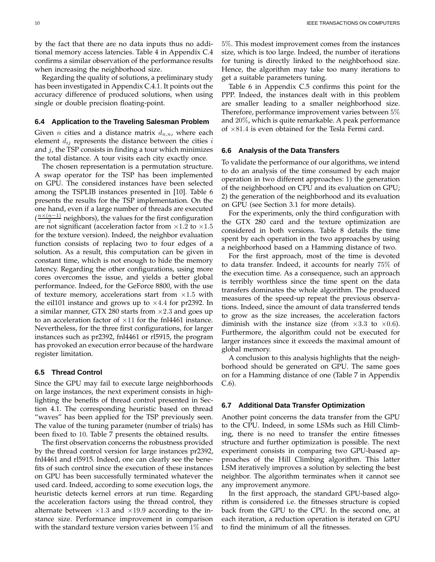by the fact that there are no data inputs thus no additional memory access latencies. Table 4 in Appendix C.4 confirms a similar observation of the performance results when increasing the neighborhood size.

Regarding the quality of solutions, a preliminary study has been investigated in Appendix C.4.1. It points out the accuracy difference of produced solutions, when using single or double precision floating-point.

### **6.4 Application to the Traveling Salesman Problem**

Given *n* cities and a distance matrix  $d_{n,n}$ , where each element  $d_{ij}$  represents the distance between the cities  $i$ and  $j$ , the TSP consists in finding a tour which minimizes the total distance. A tour visits each city exactly once.

The chosen representation is a permutation structure. A swap operator for the TSP has been implemented on GPU. The considered instances have been selected among the TSPLIB instances presented in [10]. Table 6 presents the results for the TSP implementation. On the one hand, even if a large number of threads are executed  $\left(\frac{n\times(n-1)}{2}\right)$  $\frac{n-1}{2}$  neighbors), the values for the first configuration are not significant (acceleration factor from  $\times 1.2$  to  $\times 1.5$ for the texture version). Indeed, the neighbor evaluation function consists of replacing two to four edges of a solution. As a result, this computation can be given in constant time, which is not enough to hide the memory latency. Regarding the other configurations, using more cores overcomes the issue, and yields a better global performance. Indeed, for the GeForce 8800, with the use of texture memory, accelerations start from  $\times 1.5$  with the eil101 instance and grows up to  $\times$ 4.4 for pr2392. In a similar manner, GTX 280 starts from  $\times 2.3$  and goes up to an acceleration factor of  $\times 11$  for the fnl4461 instance. Nevertheless, for the three first configurations, for larger instances such as pr2392, fnl4461 or rl5915, the program has provoked an execution error because of the hardware register limitation.

### **6.5 Thread Control**

Since the GPU may fail to execute large neighborhoods on large instances, the next experiment consists in highlighting the benefits of thread control presented in Section 4.1. The corresponding heuristic based on thread "waves" has been applied for the TSP previously seen. The value of the tuning parameter (number of trials) has been fixed to 10. Table 7 presents the obtained results.

The first observation concerns the robustness provided by the thread control version for large instances pr2392, fnl4461 and rl5915. Indeed, one can clearly see the benefits of such control since the execution of these instances on GPU has been successfully terminated whatever the used card. Indeed, according to some execution logs, the heuristic detects kernel errors at run time. Regarding the acceleration factors using the thread control, they alternate between  $\times 1.3$  and  $\times 19.9$  according to the instance size. Performance improvement in comparison with the standard texture version varies between 1% and

5%. This modest improvement comes from the instances size, which is too large. Indeed, the number of iterations for tuning is directly linked to the neighborhood size. Hence, the algorithm may take too many iterations to get a suitable parameters tuning.

Table 6 in Appendix C.5 confirms this point for the PPP. Indeed, the instances dealt with in this problem are smaller leading to a smaller neighborhood size. Therefore, performance improvement varies between 5% and 20%, which is quite remarkable. A peak performance of  $\times 81.4$  is even obtained for the Tesla Fermi card.

### **6.6 Analysis of the Data Transfers**

To validate the performance of our algorithms, we intend to do an analysis of the time consumed by each major operation in two different approaches: 1) the generation of the neighborhood on CPU and its evaluation on GPU; 2) the generation of the neighborhood and its evaluation on GPU (see Section 3.1 for more details).

For the experiments, only the third configuration with the GTX 280 card and the texture optimization are considered in both versions. Table 8 details the time spent by each operation in the two approaches by using a neighborhood based on a Hamming distance of two.

For the first approach, most of the time is devoted to data transfer. Indeed, it accounts for nearly 75% of the execution time. As a consequence, such an approach is terribly worthless since the time spent on the data transfers dominates the whole algorithm. The produced measures of the speed-up repeat the previous observations. Indeed, since the amount of data transferred tends to grow as the size increases, the acceleration factors diminish with the instance size (from  $\times 3.3$  to  $\times 0.6$ ). Furthermore, the algorithm could not be executed for larger instances since it exceeds the maximal amount of global memory.

A conclusion to this analysis highlights that the neighborhood should be generated on GPU. The same goes on for a Hamming distance of one (Table 7 in Appendix C.6).

### **6.7 Additional Data Transfer Optimization**

Another point concerns the data transfer from the GPU to the CPU. Indeed, in some LSMs such as Hill Climbing, there is no need to transfer the entire fitnesses structure and further optimization is possible. The next experiment consists in comparing two GPU-based approaches of the Hill Climbing algorithm. This latter LSM iteratively improves a solution by selecting the best neighbor. The algorithm terminates when it cannot see any improvement anymore.

In the first approach, the standard GPU-based algorithm is considered i.e. the fitnesses structure is copied back from the GPU to the CPU. In the second one, at each iteration, a reduction operation is iterated on GPU to find the minimum of all the fitnesses.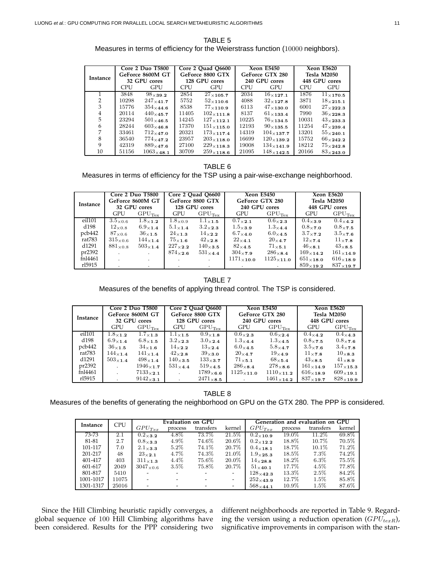TABLE 5 Measures in terms of efficiency for the Weierstrass function (10000 neighbors).

|          |                  | Core 2 Duo T5800     |               | Core 2 Ouad O6600    |            | Xeon E5450                  |             | <b>Xeon E5620</b>          |  |
|----------|------------------|----------------------|---------------|----------------------|------------|-----------------------------|-------------|----------------------------|--|
| Instance | GeForce 8600M GT |                      |               | GeForce 8800 GTX     |            | GeForce GTX 280             | Tesla M2050 |                            |  |
|          |                  | 32 GPU cores         | 128 GPU cores |                      |            | 240 GPU cores               |             | 448 GPU cores              |  |
|          | CPU              | GPU                  | <b>CPU</b>    | GPU                  | <b>CPU</b> | GPU                         | <b>CPU</b>  | GPU                        |  |
|          | 3848             | $98_{\times}$ 39.2   | 2854          | $27_{\times}$ 105.7  | 2034       | $16_{\times}127.1$          | 1876        | $11_{\times}$ 170.5        |  |
| 2        | 10298            | $247_{\times}$ 41.7  | 5752          | $52_{\times}$ 110.6  | 4088       | $32_{\times}$ 127.8         | 3871        | $18_{\times}$ 215.1        |  |
| 3        | 15776            | $354_{\times}$ 44.6  | 8538          | $77_{\times}110.9$   | 6113       | $47_{\times}$ 130.0         | 6001        | $27_{\times}$ 222.3        |  |
| 4        | 20114            | $440_{\times}$ 45.7  | 11405         | $102_{\times}$ 111.8 | 8137       | $61_{\times}$ <b>133</b> .4 | 7990        | $36_{\times}$ 228.3        |  |
| 5        | 23294            | $501_{\times}$ 46.5  | 14245         | $127_{\times}112.1$  | 10225      | $76_{\times}$ 134.5         | 10031       | $43_{\times}$ <b>233.3</b> |  |
| 6        | 28244            | $603_{\times 46.8}$  | 17370         | $151_{\times}115.0$  | 12193      | $90\times 135.5$            | 11254       | $47_{\times}$ 239.4        |  |
| 7        | 33461            | $712_{\times}$ 47.0  | 20321         | $173_{\times 117.4}$ | 14319      | $104_{\times}$ 137.7        | 13201       | $55_{\times}$ 240.1        |  |
| 8        | 36540            | $774_{\times}$ 47.2  | 23957         | $203_{\times}$ 118.0 | 16699      | $120_{\times}$ 139.2        | 15752       | $66_{\times}$ 242.2        |  |
| 9        | 42319            | $889_{\times}$ 47.6  | 27100         | $229_{\times 118.3}$ | 19008      | $134_{\times}141.9$         | 18212       | $75_{\times}$ 242.8        |  |
| 10       | 51156            | $1063_{\times}$ 48.1 | 30709         | $259_{\times 118.6}$ | 21095      | $148_{\times}$ <b>142.5</b> | 20166       | $83_{\times}$ 243.0        |  |

### TABLE 6

Measures in terms of efficiency for the TSP using a pair-wise-exchange neighborhood.

| Instance | Core 2 Duo T5800<br>GeForce 8600M GT<br>32 GPU cores |                      | Core 2 Ouad O6600<br>Xeon E5450<br>GeForce GTX 280<br>GeForce 8800 GTX<br>128 GPU cores<br>240 GPU cores |                      |                     | <b>Xeon E5620</b><br>Tesla M2050<br>448 GPU cores |                     |                      |
|----------|------------------------------------------------------|----------------------|----------------------------------------------------------------------------------------------------------|----------------------|---------------------|---------------------------------------------------|---------------------|----------------------|
|          | <b>GPU</b>                                           | $\mathrm{GPU_{Tex}}$ | GPU                                                                                                      | $\mathrm{GPU_{Tex}}$ | GPU                 | $\mathrm{GPU_{Tex}}$                              | GPU                 | $\mathrm{GPU_{Tex}}$ |
| eil101   | $3.5 \times 0.6$                                     | $1.8 \times 1.2$     | $1.8\times0.9$                                                                                           | $1.1 \times 1.5$     | $0.7\times 2.1$     | $0.6\times 2.3$                                   | $0.4 \times 3.9$    | $0.4\times 4.2$      |
| d198     | $12\times0.8$                                        | $6.9 \times 1.4$     | $5.1 \times 1.4$                                                                                         | $3.2\times$ 2.3      | $1.5 \times 3.9$    | $1.3\times 4.4$                                   | $0.8\times 7.0$     | $0.8\times 7.5$      |
| pcb442   | $87_{\times0.6}$                                     | $36\times1.5$        | $24\times1.3$                                                                                            | $14\times2.2$        | $6.7\times$ 4.0     | $6.0\times 4.5$                                   | $3.7\times7.2$      | $3.5\times 7.6$      |
| rat783   | $315\times0.6$                                       | $144 \times 1.4$     | $75\times1.6$                                                                                            | $42\times$ 2.8       | $22\times 4.1$      | $20\times 4.7$                                    | $12\times$ 7.4      | $11\times 7.8$       |
| d1291    | $881_{\times}0.8$                                    | $503_{\times1.4}$    | $227_{\times}$ 2.2                                                                                       | $140_{\times}$ 3.5   | $82_{\times 4.5}$   | $71_{\times 5.1}$                                 | $46_{\times}$ 8.1   | $43_{\times}$ 8.5    |
| pr2392   |                                                      | $\sim$               | $874_{\times}$ 2.6                                                                                       | $531_{\times}$ 4.4   | $304\times7.9$      | $286\times8.4$                                    | $169_{\times}$ 14.2 | $161_{\times}$ 14.9  |
| fnl4461  |                                                      | $\cdot$              |                                                                                                          |                      | $1171_{\times}10.0$ | $1125_{\times}11.0$                               | $651_{\times}$ 18.0 | $616_{\times}$ 18.9  |
| rl5915   |                                                      |                      |                                                                                                          |                      |                     |                                                   | $859_{\times}$ 19.2 | $837_{\times}$ 19.7  |

TABLE 7 Measures of the benefits of applying thread control. The TSP is considered.

| Instance | Core 2 Duo T5800<br>GeForce 8600M GT<br>32 GPU cores |                            | Core 2 Ouad O6600<br>GeForce 8800 GTX<br>128 GPU cores |                           |                              | Xeon E5450<br>GeForce GTX 280<br>240 GPU cores | <b>Xeon E5620</b><br>Tesla M2050<br>448 GPU cores |                      |
|----------|------------------------------------------------------|----------------------------|--------------------------------------------------------|---------------------------|------------------------------|------------------------------------------------|---------------------------------------------------|----------------------|
|          | GPU                                                  | $\mathrm{GPU_{Tex}}$       | GPU                                                    | $\mathrm{GPU_{Tex}}$      | GPU                          | $\mathrm{GPU_{Tex}}$                           |                                                   | $\mathrm{GPU_{Tex}}$ |
| eil101   | $1.8_{\times1.2}$                                    | $1.7 \times 1.3$           | $1.1_{\times}$ 1.5                                     | $0.9_{\times1.8}$         | $0.6 \times 2.3$             | $0.6_{\times}$ 2.4                             | $0.4_{\times}$ 4.2                                | $0.4\times4.3$       |
| d198     | $6.9_{\times1.4}$                                    | $6.8 \times 1.5$           | $3.2_{\times}$ <b>2.3</b>                              | $3.0_{\times}$ <b>2.4</b> | $1.3_{\times 4.4}$           | $1.3 \times 4.5$                               | $0.8\times$ 7.5                                   | $0.8_{\times}7.6$    |
| pcb442   | $36_{\times1.5}$                                     | $34_{\times}$ 1.6          | $14_{\times}$ 2.2                                      | $13_{\times}$ 2.4         | $6.0 \times 4.5$             | $5.8 \times 4.7$                               | $3.5 \times 7.6$                                  | $3.4 \times 7.8$     |
| rat783   | $144_{\times}$ 1.4                                   | $141_{\times}$ 1.4         | $42_{\times}$ 2.8                                      | $39_{\times}$ 3.0         | $20_{\times}$ 4.7            | $19_{\times}$ 4.9                              | $11_{\times}$ 7.8                                 | $10\times8.3$        |
| d1291    | $503_{\times1.4}$                                    | $498_{\times1.4}$          | $140_{\times}$ 3.5                                     | $133_{\times}$ 3.7        | $71_{\times}$ 5.1            | $68_{\times{\bf 5.4}}$                         | $43_{\times}$ 8.5                                 | $41_{\times}$ 8.9    |
| pr2392   |                                                      | $1946_{\times}$ 1.7        | $531_{\times}$ 4.4                                     | $519_{\times}$ 4.5        | $286_{\times}$ 8.4           | $278\times8.6$                                 | $161_{\times}$ 14.9                               | $157_{\times}$ 15.3  |
| fnl4461  |                                                      | $7133_{\times}$ <b>2.1</b> | $\cdot$                                                | $1789_{\times{\bf 6.6}}$  | $1125_{\times}\mathbf{11.0}$ | $1110_{\times 11.2}$                           | $616_{\times}$ 18.9                               | $609_{\times}$ 19.1  |
| rl5915   |                                                      | $9142_{\times}3.1$         |                                                        | $2471_{\times}$ 8.5       |                              | $1461_{\times}$ 14.2                           | $837_{\times}$ 19.7                               | $828 \times 19.9$    |

#### TABLE 8

Measures of the benefits of generating the neighborhood on GPU on the GTX 280. The PPP is considered.

| Instance  | <b>CPU</b> |                     | <b>Evaluation on GPU</b> |           |        |                              |          | Generation and evaluation on GPU |        |
|-----------|------------|---------------------|--------------------------|-----------|--------|------------------------------|----------|----------------------------------|--------|
|           |            | $GPU_{Tex}$         | process                  | transfers | kernel | $GPU_{Tex}$                  | process  | transfers                        | kernel |
| $73 - 73$ | 2.1        | $0.2 \times 3.2$    | $4.8\%$                  | 73.7%     | 21.5%  | $0.2 \times 10.9$            | 19.0%    | $11.2\%$                         | 69.8%  |
| 81-81     | 2.7        | $0.8\times$ 33      | $4.9\%$                  | 74.6%     | 20.6%  | $0.2$ × 12.2                 | 18.8%    | 10.7%                            | 70.5%  |
| 101-117   | 7.0        | $2.1 \times 3.3$    | $5.2\%$                  | 74.1\%    | 20.7%  | $0.4 \times 18.1$            | 18.7%    | 10.1\%                           | 71.2%  |
| 201-217   | 48         | $23\times 2.1$      | 4.7%                     | 74.3%     | 21.0%  | $1.9 \times 25.3$            | 18.5%    | $7.3\%$                          | 74.2%  |
| 401-417   | 403        | $311\times1.3$      | $4.4\%$                  | 75.6%     | 20.0%  | $14\times$ 28.8              | 18.2%    | $6.3\%$                          | 75.5%  |
| 601-617   | 2049       | $3047_{\times 0.6}$ | $3.5\%$                  | 75.8%     | 20.7%  | $51_{\times}$ 40.1           | 17.7%    | $4.5\%$                          | 77.8%  |
| 801-817   | 5410       |                     |                          |           |        | $128_{\times 42.3}$          | 13.3%    | $2.5\%$                          | 84.2%  |
| 1001-1017 | 11075      |                     |                          |           |        | $252_{\times}$ 43.9          | 12.7%    | $1.5\%$                          | 85.8%  |
| 1301-1317 | 25016      |                     |                          |           |        | $568_{\times \textbf{44.1}}$ | $10.9\%$ | $1.5\%$                          | 87.6%  |

Since the Hill Climbing heuristic rapidly converges, a global sequence of 100 Hill Climbing algorithms have been considered. Results for the PPP considering two

different neighborhoods are reported in Table 9. Regarding the version using a reduction operation  $(GPU_{texE R})$ , significative improvements in comparison with the stan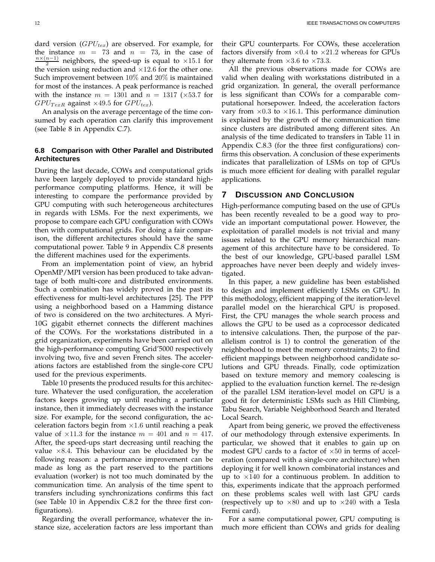dard version ( $GPU_{tex}$ ) are observed. For example, for the instance  $m = 73$  and  $n = 73$ , in the case of  $n\times(n-1)$  $\frac{n-1}{2}$  neighbors, the speed-up is equal to  $\times 15.1$  for the version using reduction and  $\times 12.6$  for the other one. Such improvement between 10% and 20% is maintained for most of the instances. A peak performance is reached with the instance  $m = 1301$  and  $n = 1317$  ( $\times 53.7$  for  $GPU_{TexR}$  against ×49.5 for  $GPU_{tex}$ ).

An analysis on the average percentage of the time consumed by each operation can clarify this improvement (see Table 8 in Appendix C.7).

### **6.8 Comparison with Other Parallel and Distributed Architectures**

During the last decade, COWs and computational grids have been largely deployed to provide standard highperformance computing platforms. Hence, it will be interesting to compare the performance provided by GPU computing with such heterogeneous architectures in regards with LSMs. For the next experiments, we propose to compare each GPU configuration with COWs then with computational grids. For doing a fair comparison, the different architectures should have the same computational power. Table 9 in Appendix C.8 presents the different machines used for the experiments.

From an implementation point of view, an hybrid OpenMP/MPI version has been produced to take advantage of both multi-core and distributed environments. Such a combination has widely proved in the past its effectiveness for multi-level architectures [25]. The PPP using a neighborhood based on a Hamming distance of two is considered on the two architectures. A Myri-10G gigabit ethernet connects the different machines of the COWs. For the workstations distributed in a grid organization, experiments have been carried out on the high-performance computing Grid'5000 respectively involving two, five and seven French sites. The accelerations factors are established from the single-core CPU used for the previous experiments.

Table 10 presents the produced results for this architecture. Whatever the used configuration, the acceleration factors keeps growing up until reaching a particular instance, then it immediately decreases with the instance size. For example, for the second configuration, the acceleration factors begin from  $\times 1.6$  until reaching a peak value of  $\times$ 11.3 for the instance  $m = 401$  and  $n = 417$ . After, the speed-ups start decreasing until reaching the value  $\times 8.4$ . This behaviour can be elucidated by the following reason: a performance improvement can be made as long as the part reserved to the partitions evaluation (worker) is not too much dominated by the communication time. An analysis of the time spent to transfers including synchronizations confirms this fact (see Table 10 in Appendix C.8.2 for the three first configurations).

Regarding the overall performance, whatever the instance size, acceleration factors are less important than their GPU counterparts. For COWs, these acceleration factors diversify from  $\times 0.4$  to  $\times 21.2$  whereas for GPUs they alternate from  $\times 3.6$  to  $\times 73.3$ .

All the previous observations made for COWs are valid when dealing with workstations distributed in a grid organization. In general, the overall performance is less significant than COWs for a comparable computational horsepower. Indeed, the acceleration factors vary from  $\times 0.3$  to  $\times 16.1$ . This performance diminution is explained by the growth of the communication time since clusters are distributed among different sites. An analysis of the time dedicated to transfers in Table 11 in Appendix C.8.3 (for the three first configurations) confirms this observation. A conclusion of these experiments indicates that parallelization of LSMs on top of GPUs is much more efficient for dealing with parallel regular applications.

### **7 DISCUSSION AND CONCLUSION**

High-performance computing based on the use of GPUs has been recently revealed to be a good way to provide an important computational power. However, the exploitation of parallel models is not trivial and many issues related to the GPU memory hierarchical management of this architecture have to be considered. To the best of our knowledge, GPU-based parallel LSM approaches have never been deeply and widely investigated.

In this paper, a new guideline has been established to design and implement efficiently LSMs on GPU. In this methodology, efficient mapping of the iteration-level parallel model on the hierarchical GPU is proposed. First, the CPU manages the whole search process and allows the GPU to be used as a coprocessor dedicated to intensive calculations. Then, the purpose of the parallelism control is 1) to control the generation of the neighborhood to meet the memory constraints; 2) to find efficient mappings between neighborhood candidate solutions and GPU threads. Finally, code optimization based on texture memory and memory coalescing is applied to the evaluation function kernel. The re-design of the parallel LSM iteration-level model on GPU is a good fit for deterministic LSMs such as Hill Climbing, Tabu Search, Variable Neighborhood Search and Iterated Local Search.

Apart from being generic, we proved the effectiveness of our methodology through extensive experiments. In particular, we showed that it enables to gain up on modest GPU cards to a factor of  $\times 50$  in terms of acceleration (compared with a single-core architecture) when deploying it for well known combinatorial instances and up to  $\times 140$  for a continuous problem. In addition to this, experiments indicate that the approach performed on these problems scales well with last GPU cards (respectively up to  $\times 80$  and up to  $\times 240$  with a Tesla Fermi card).

For a same computational power, GPU computing is much more efficient than COWs and grids for dealing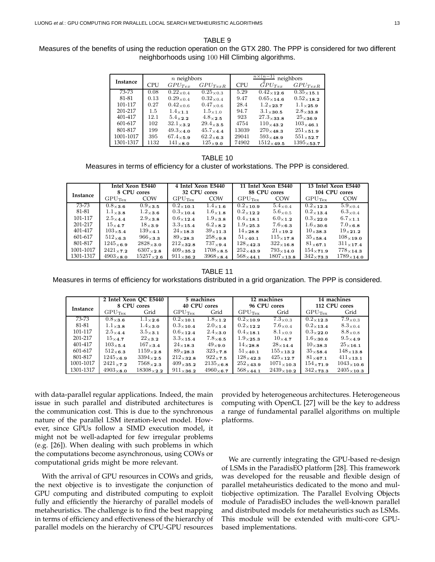TABLE 9

Measures of the benefits of using the reduction operation on the GTX 280. The PPP is considered for two different neighborhoods using 100 Hill Climbing algorithms.

| Instance  |      | $n$ neighbors       |                                |            | $\frac{n\times(n-1)}{2}$ neighbors |                      |
|-----------|------|---------------------|--------------------------------|------------|------------------------------------|----------------------|
|           | CPU  | $GPU_{Tex}$         | $GPU_{Text}$                   | <b>CPU</b> | $GPU_{Tex}$                        | $GPU_{Text}$         |
| 73-73     | 0.08 | $0.22_{\times 0.4}$ | $\overline{0.25}_{\times 0.3}$ | 5.29       | $\overline{0.42}_{\times 12.6}$    | $0.35_{\times 15.1}$ |
| 81-81     | 0.13 | $0.29_{\times 0.4}$ | $0.32_{\times 0.4}$            | 9.47       | $0.65 \times 14.6$                 | $0.52_{\times}$ 18.2 |
| 101-117   | 0.27 | $0.42_{\times 0.6}$ | $0.47_{\times 0.6}$            | 28.4       | $1.2 \times 23.7$                  | $1.1_{\times}$ 25.9  |
| 201-217   | 1.5  | $1.4 \times 1.1$    | $1.5_{\times 1.0}$             | 94.7       | $3.1 \times$ 30.5                  | $2.8 \times 33.8$    |
| 401-417   | 12.1 | $5.4\times$ 2.2     | $4.8 \times 2.5$               | 923        | $27.3 \times 33.8$                 | $25\times$ 36.9      |
| 601-617   | 102  | $32.1_{\times}$ 3.2 | $29.4 \times 3.5$              | 4754       | $110\times$ 43.2                   | $103_{\times 46.1}$  |
| 801-817   | 199  | $49.3 \times 4.0$   | $45.7 \times 4.4$              | 13039      | $270\times$ 48.3                   | $251_{\times 51.9}$  |
| 1001-1017 | 395  | $67.4 \times 5.9$   | $62.2 \times 6.3$              | 29041      | $593\times 48.9$                   | $551_{\times}$ 52.7  |
| 1301-1317 | 1132 | $141_{\times}$ 8.0  | $125_{\times}$ 9.0             | 74902      | $1512_{\times}$ 49.5               | $1395\times 53.7$    |

### TABLE 10

Measures in terms of efficiency for a cluster of workstations. The PPP is considered.

|           | Intel Xeon E5440     |                       | 4 Intel Xeon E5440         |                     | 11 Intel Xeon E5440  |                      | 13 Intel Xeon E5440            |                     |
|-----------|----------------------|-----------------------|----------------------------|---------------------|----------------------|----------------------|--------------------------------|---------------------|
| Instance  | 8 CPU cores          |                       | 32 CPU cores               |                     | 88 CPU cores         |                      | 104 CPU cores                  |                     |
|           | $\mathrm{GPU_{Tex}}$ | <b>COW</b>            | $\mathrm{GPU_{Tex}}$       | COW                 | $\mathrm{GPU_{Tex}}$ | COW                  | $\mathrm{GPU_{Tex}}$           | COW                 |
| 73-73     | $0.8_{\times}$ 3.6   | $0.9$ <sub>×3.5</sub> | $0.2_{\times}$ 10.1        | $1.4 \times 1.6$    | $0.2 \times 10.9$    | $5.4 \times 0.4$     | $0.2_{\times}$ 12.3            | $5.9 \times 0.4$    |
| 81-81     | $1.1 \times 3.8$     | $1.2 \times$ 3.6      | $0.3 \times 10.4$          | $1.6 \times 1.8$    | $0.2 \times 12.2$    | $5.6\times0.5$       | $0.2\scriptstyle{\times}$ 13.4 | $6.3\times0.4$      |
| 101-117   | $2.5 \times 4.4$     | $2.9\times3.8$        | $0.6 \times 12.4$          | $1.9\times$ 3.8     | $0.4 \times 18.1$    | $6.0 \times 1.2$     | $0.3\times$ 22.0               | $6.7 \times 1.1$    |
| 201-217   | $15\times$ 4.7       | $18\times3.9$         | $3.3\times$ 15.4           | $6.2 \times 8.2$    | $1.9 \times 25.3$    | $7.6 \times 6.3$     | $1.6 \times 30.6$              | $7.0\times 6.8$     |
| 401-417   | $103_{\times}$ 5.4   | $139_{\times 4.1}$    | $24_{\times}$ 18.3         | $39_{\times}11.3$   | $14_{\times}$ 28.8   | $21_{\times}$ 19.2   | $10_{\times}$ 38.3             | $19_{\times}$ 21.2  |
| 601-617   | $512_{\times}$ 6.3   | $966_{\times}$ 3.3    | $89_{\times}$ 28.3         | $258\times9.8$      | $51_{\times}$ 40.1   | $115_{\times}17.8$   | $35\scriptstyle\times$ 58.4    | $108_{\times}$ 19.0 |
| 801-817   | $1245_{\times}$ 6.9  | $2828_{\times}3.0$    | $212_{\times}$ <b>32.8</b> | $737_{\times}$ 9.4  | $128_{\times 42.3}$  | $322_{\times}$ 16.8  | $81_{\times}$ 67.1             | $311_{\times}$ 17.4 |
| 1001-1017 | $2421_{\times}$ 7.2  | $6307_{\times}$ 2.8   | $409_{\times}$ 35.2        | $1708_{\times}$ 8.5 | $252_{\times}$ 43.9  | $793_{\times}$ 14.0  | $154_{\times}$ 71.9            | $778_{\times}$ 14.3 |
| 1301-1317 | $4903_{\times}$ 8.0  | $15257_{\times}$ 2.6  | $911_{\times}$ 36.2        | $3968_{\times}$ 8.4 | $568_{\times 44.1}$  | $1807_{\times}$ 13.8 | $342_{\times}$ 73.3            | $1789_{\times}14.0$ |

TABLE 11

Measures in terms of efficiency for workstations distributed in a grid organization. The PPP is considered.

|           | 2 Intel Xeon QC E5440 |                            | 5 machines                 |                     | 12 machines                  |                      | 14 machines         |                            |
|-----------|-----------------------|----------------------------|----------------------------|---------------------|------------------------------|----------------------|---------------------|----------------------------|
| Instance  | 8 CPU cores           |                            | 40 CPU cores               |                     | 96 CPU cores                 |                      | 112 CPU cores       |                            |
|           | $\mathrm{GPU_{Tex}}$  | Grid                       | $\mathrm{GPU_{Tex}}$       | Grid                | $GPU_{Tex}$                  | Grid                 | $GPU_{Tex}$         | Grid                       |
| 73-73     | $0.8 \times 3.6$      | $1.1 \times 2.6$           | $0.2_{\times}$ 10.1        | $1.8_{\times1.2}$   | $0.2_{\times10.9}$           | $7.3_{\times0.3}$    | $0.2_{\times}$ 12.3 | $7.9_{\times0.3}$          |
| 81-81     | $1.1_{\times}$ 3.8    | $1.4 \times 3.0$           | $0.3_{\times}$ 10.4        | $2.0_{\times1.4}$   | $0.2_{\times}$ 12.2          | $7.6_{\times0.4}$    | $0.2_{\times}$ 13.4 | $8.3\times0.4$             |
| 101-117   | $2.5 \times 4.4$      | $3.5 \times 3.1$           | $0.6_{\times}$ <b>12.4</b> | $2.4 \times$ 3.0    | $0.4_{\times}$ 18.1          | $8.1_{\times 0.9}$   | $0.3_{\times}$ 22.0 | $8.8_{\times 0.8}$         |
| 201-217   | $15_{\times}$ 4.7     | $22_{\times}$ 3.2          | $3.3_{\times}$ 15.4        | $7.8 \times 6.5$    | $1.9$ $\times$ 25.3          | $10_{\times}$ 4.7    | $1.6$ $\times$ 30.6 | $9.5 \times 4.9$           |
| 401-417   | $103_{\times 5.4}$    | $167_{\times}$ 3.4         | $24_{\times}$ 18.3         | $49_{\times}$ 9.0   | $14_{\times}$ 28.8           | $28_{\times}$ 14.4   | $10_{\times}$ 38.3  | $25_{\times}$ 16.1         |
| 601-617   | $512_{\times}$ 6.3    | $1159_{\times}$ <b>2.8</b> | $89_{\times}$ 28.3         | $323_{\times}$ 7.8  | $51_{\times}$ 40.1           | $155_{\times}13.2$   | $35\times$ 58.4     | $148_{\times}$ <b>13.8</b> |
| 801-817   | $1245_{\times}$ 6.9   | $3394_{\times}$ 2.5        | $212_{\times}$ <b>32.8</b> | $922_{\times}$ 7.5  | $128_{\times}$ 42.3          | $425_{\times}$ 12.7  | $81_{\times}$ 67.1  | $411_{\times}$ <b>13.1</b> |
| 1001-1017 | $2421_{\times}$ 7.2   | $7568_{\times}$ 2.3        | $409_{\times}$ 35.2        | $2135_{\times}$ 6.8 | $252_{\times}$ 43.9          | $1071_{\times}$ 10.3 | $154_{\times}$ 71.9 | $1043_{\times}$ 10.6       |
| 1301-1317 | $4903_{\times}$ 8.0   | $18308_{\times}$ 2.2       | $911_{\times}$ <b>36.2</b> | $4960_{\times}$ 6.7 | $568_{\times \textbf{44.1}}$ | $2439_{\times}$ 10.2 | $342_{\times}$ 73.3 | $2405_{\times}$ 10.3       |

with data-parallel regular applications. Indeed, the main issue in such parallel and distributed architectures is the communication cost. This is due to the synchronous nature of the parallel LSM iteration-level model. However, since GPUs follow a SIMD execution model, it might not be well-adapted for few irregular problems (e.g. [26]). When dealing with such problems in which the computations become asynchronous, using COWs or computational grids might be more relevant.

With the arrival of GPU resources in COWs and grids, the next objective is to investigate the conjunction of GPU computing and distributed computing to exploit fully and efficiently the hierarchy of parallel models of metaheuristics. The challenge is to find the best mapping in terms of efficiency and effectiveness of the hierarchy of parallel models on the hierarchy of CPU-GPU resources provided by heterogeneous architectures. Heterogeneous computing with OpenCL [27] will be the key to address a range of fundamental parallel algorithms on multiple platforms.

We are currently integrating the GPU-based re-design of LSMs in the ParadisEO platform [28]. This framework was developed for the reusable and flexible design of parallel metaheuristics dedicated to the mono and multiobjective optimization. The Parallel Evolving Objects module of ParadisEO includes the well-known parallel and distributed models for metaheuristics such as LSMs. This module will be extended with multi-core GPUbased implementations.